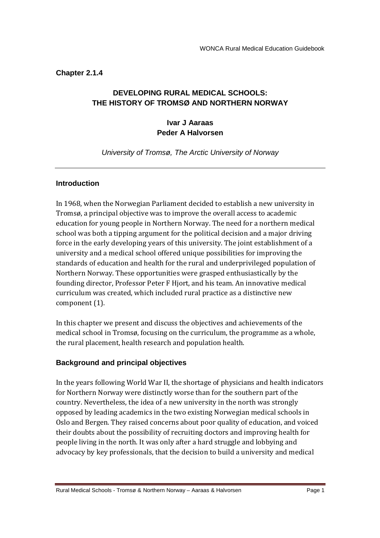**Chapter 2.1.4** 

# **DEVELOPING RURAL MEDICAL SCHOOLS: THE HISTORY OF TROMSØ AND NORTHERN NORWAY**

## **Ivar J Aaraas Peder A Halvorsen**

University of Tromsø, The Arctic University of Norway

## **Introduction**

In 1968, when the Norwegian Parliament decided to establish a new university in Tromsø, a principal objective was to improve the overall access to academic education for young people in Northern Norway. The need for a northern medical school was both a tipping argument for the political decision and a major driving force in the early developing years of this university. The joint establishment of a university and a medical school offered unique possibilities for improving the standards of education and health for the rural and underprivileged population of Northern Norway. These opportunities were grasped enthusiastically by the founding director, Professor Peter F Hjort, and his team. An innovative medical curriculum was created, which included rural practice as a distinctive new component (1).

In this chapter we present and discuss the objectives and achievements of the medical school in Tromsø, focusing on the curriculum, the programme as a whole, the rural placement, health research and population health.

# **Background and principal objectives**

In the years following World War II, the shortage of physicians and health indicators for Northern Norway were distinctly worse than for the southern part of the country. Nevertheless, the idea of a new university in the north was strongly opposed by leading academics in the two existing Norwegian medical schools in Oslo and Bergen. They raised concerns about poor quality of education, and voiced their doubts about the possibility of recruiting doctors and improving health for people living in the north. It was only after a hard struggle and lobbying and advocacy by key professionals, that the decision to build a university and medical

Rural Medical Schools - Tromsø & Northern Norway – Aaraas & Halvorsen Page 1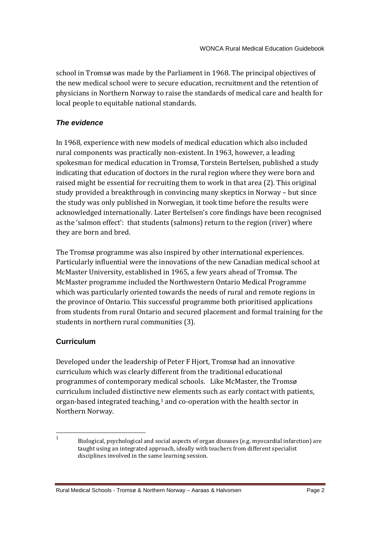school in Tromsø was made by the Parliament in 1968. The principal objectives of the new medical school were to secure education, recruitment and the retention of physicians in Northern Norway to raise the standards of medical care and health for local people to equitable national standards.

## **The evidence**

In 1968, experience with new models of medical education which also included rural components was practically non-existent. In 1963, however, a leading spokesman for medical education in Tromsø, Torstein Bertelsen, published a study indicating that education of doctors in the rural region where they were born and raised might be essential for recruiting them to work in that area (2). This original study provided a breakthrough in convincing many skeptics in Norway – but since the study was only published in Norwegian, it took time before the results were acknowledged internationally. Later Bertelsen's core findings have been recognised as the 'salmon effect': that students (salmons) return to the region (river) where they are born and bred.

The Tromsø programme was also inspired by other international experiences. Particularly influential were the innovations of the new Canadian medical school at McMaster University, established in 1965, a few years ahead of Tromsø. The McMaster programme included the Northwestern Ontario Medical Programme which was particularly oriented towards the needs of rural and remote regions in the province of Ontario. This successful programme both prioritised applications from students from rural Ontario and secured placement and formal training for the students in northern rural communities (3).

# **Curriculum**

Developed under the leadership of Peter F Hjort, Tromsø had an innovative curriculum which was clearly different from the traditional educational programmes of contemporary medical schools. Like McMaster, the Tromsø curriculum included distinctive new elements such as early contact with patients, organ-based integrated teaching, $1$  and co-operation with the health sector in Northern Norway.

Rural Medical Schools - Tromsø & Northern Norway – Aaraas & Halvorsen Page 2

 $\frac{1}{1}$ Biological, psychological and social aspects of organ diseases (e.g. myocardial infarction) are taught using an integrated approach, ideally with teachers from different specialist disciplines involved in the same learning session.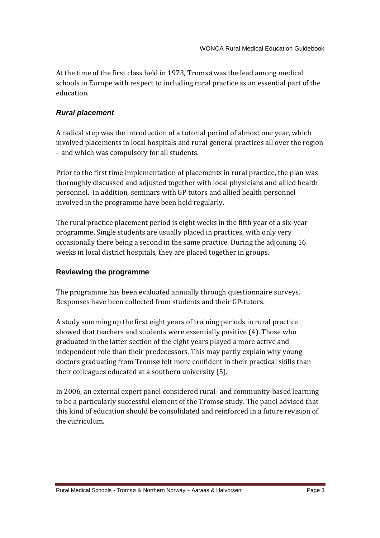At the time of the first class held in 1973, Tromsø was the lead among medical schools in Europe with respect to including rural practice as an essential part of the education.

## **Rural placement**

A radical step was the introduction of a tutorial period of almost one year, which involved placements in local hospitals and rural general practices all over the region – and which was compulsory for all students.

Prior to the first time implementation of placements in rural practice, the plan was thoroughly discussed and adjusted together with local physicians and allied health personnel. In addition, seminars with GP tutors and allied health personnel involved in the programme have been held regularly.

The rural practice placement period is eight weeks in the fifth year of a six-year programme. Single students are usually placed in practices, with only very occasionally there being a second in the same practice. During the adjoining 16 weeks in local district hospitals, they are placed together in groups.

## **Reviewing the programme**

The programme has been evaluated annually through questionnaire surveys. Responses have been collected from students and their GP-tutors.

A study summing up the first eight years of training periods in rural practice showed that teachers and students were essentially positive (4). Those who graduated in the latter section of the eight years played a more active and independent role than their predecessors. This may partly explain why young doctors graduating from Tromsø felt more confident in their practical skills than their colleagues educated at a southern university (5).

In 2006, an external expert panel considered rural- and community-based learning to be a particularly successful element of the Tromsø study. The panel advised that this kind of education should be consolidated and reinforced in a future revision of the curriculum.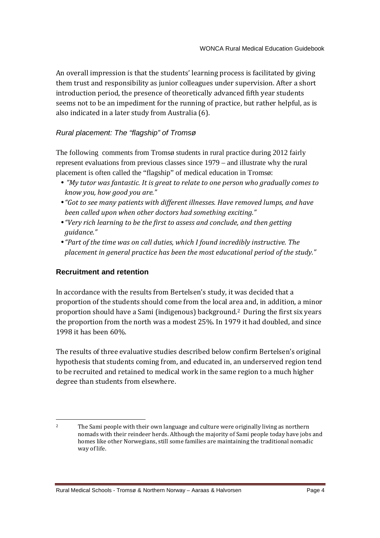An overall impression is that the students' learning process is facilitated by giving them trust and responsibility as junior colleagues under supervision. After a short introduction period, the presence of theoretically advanced fifth year students seems not to be an impediment for the running of practice, but rather helpful, as is also indicated in a later study from Australia (6).

## Rural placement: The "flagship" of Tromsø

The following comments from Tromsø students in rural practice during 2012 fairly represent evaluations from previous classes since 1979 – and illustrate why the rural placement is often called the "flagship" of medical education in Tromsø:

- • *"My tutor was fantastic. It is great to relate to one person who gradually comes to know you, how good you are."*
- *"Got to see many patients with different illnesses. Have removed lumps, and have been called upon when other doctors had something exciting."*
- *"Very rich learning to be the first to assess and conclude, and then getting guidance."*
- *"Part of the time was on call duties, which I found incredibly instructive. The placement in general practice has been the most educational period of the study."*

## **Recruitment and retention**

In accordance with the results from Bertelsen's study, it was decided that a proportion of the students should come from the local area and, in addition, a minor proportion should have a Sami (indigenous) background.2 During the first six years the proportion from the north was a modest 25%. In 1979 it had doubled, and since 1998 it has been 60%.

The results of three evaluative studies described below confirm Bertelsen's original hypothesis that students coming from, and educated in, an underserved region tend to be recruited and retained to medical work in the same region to a much higher degree than students from elsewhere.

<sup>-</sup><sup>2</sup> The Sami people with their own language and culture were originally living as northern nomads with their reindeer herds. Although the majority of Sami people today have jobs and homes like other Norwegians, still some families are maintaining the traditional nomadic way of life.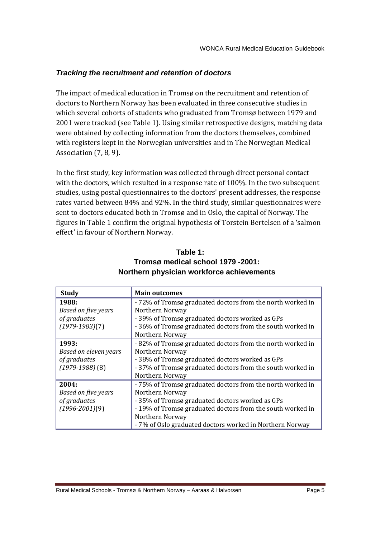## **Tracking the recruitment and retention of doctors**

The impact of medical education in Tromsø on the recruitment and retention of doctors to Northern Norway has been evaluated in three consecutive studies in which several cohorts of students who graduated from Tromsø between 1979 and 2001 were tracked (see Table 1). Using similar retrospective designs, matching data were obtained by collecting information from the doctors themselves, combined with registers kept in the Norwegian universities and in The Norwegian Medical Association (7, 8, 9).

In the first study, key information was collected through direct personal contact with the doctors, which resulted in a response rate of 100%. In the two subsequent studies, using postal questionnaires to the doctors' present addresses, the response rates varied between 84% and 92%. In the third study, similar questionnaires were sent to doctors educated both in Tromsø and in Oslo, the capital of Norway. The figures in Table 1 confirm the original hypothesis of Torstein Bertelsen of a 'salmon effect' in favour of Northern Norway.

| <b>Study</b>                                                          | <b>Main outcomes</b>                                                                                                                                                                                                                                                        |
|-----------------------------------------------------------------------|-----------------------------------------------------------------------------------------------------------------------------------------------------------------------------------------------------------------------------------------------------------------------------|
| 1988:<br>Based on five years<br>of graduates<br>$(1979-1983)(7)$      | - 72% of Tromsø graduated doctors from the north worked in<br>Northern Norway<br>- 39% of Tromsø graduated doctors worked as GPs<br>- 36% of Tromsø graduated doctors from the south worked in<br>Northern Norway                                                           |
| 1993:<br>Based on eleven years<br>of graduates<br>$(1979-1988)$ $(8)$ | -82% of Tromsø graduated doctors from the north worked in<br>Northern Norway<br>- 38% of Tromsø graduated doctors worked as GPs<br>-37% of Tromsø graduated doctors from the south worked in<br>Northern Norway                                                             |
| 2004:<br>Based on five years<br>of graduates<br>$(1996 - 2001)(9)$    | - 75% of Tromsø graduated doctors from the north worked in<br>Northern Norway<br>-35% of Tromsø graduated doctors worked as GPs<br>-19% of Tromsø graduated doctors from the south worked in<br>Northern Norway<br>- 7% of Oslo graduated doctors worked in Northern Norway |

# **Table 1: Tromsø medical school 1979 -2001: Northern physician workforce achievements**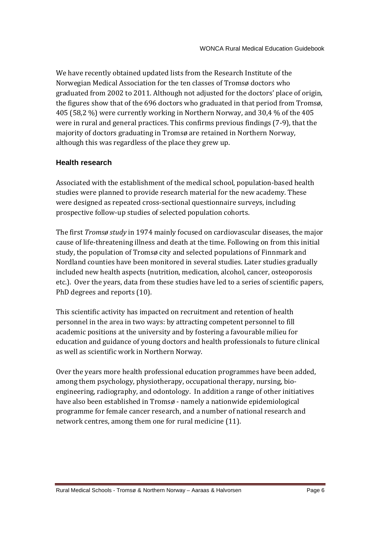We have recently obtained updated lists from the Research Institute of the Norwegian Medical Association for the ten classes of Tromsø doctors who graduated from 2002 to 2011. Although not adjusted for the doctors' place of origin, the figures show that of the 696 doctors who graduated in that period from Tromsø, 405 (58,2 %) were currently working in Northern Norway, and 30,4 % of the 405 were in rural and general practices. This confirms previous findings (7-9), that the majority of doctors graduating in Tromsø are retained in Northern Norway, although this was regardless of the place they grew up.

## **Health research**

Associated with the establishment of the medical school, population-based health studies were planned to provide research material for the new academy. These were designed as repeated cross-sectional questionnaire surveys, including prospective follow-up studies of selected population cohorts.

The first *Tromsø study* in 1974 mainly focused on cardiovascular diseases, the major cause of life-threatening illness and death at the time. Following on from this initial study, the population of Tromsø city and selected populations of Finnmark and Nordland counties have been monitored in several studies. Later studies gradually included new health aspects (nutrition, medication, alcohol, cancer, osteoporosis etc.). Over the years, data from these studies have led to a series of scientific papers, PhD degrees and reports (10).

This scientific activity has impacted on recruitment and retention of health personnel in the area in two ways: by attracting competent personnel to fill academic positions at the university and by fostering a favourable milieu for education and guidance of young doctors and health professionals to future clinical as well as scientific work in Northern Norway.

Over the years more health professional education programmes have been added, among them psychology, physiotherapy, occupational therapy, nursing, bioengineering, radiography, and odontology. In addition a range of other initiatives have also been established in Tromsø - namely a nationwide epidemiological programme for female cancer research, and a number of national research and network centres, among them one for rural medicine (11).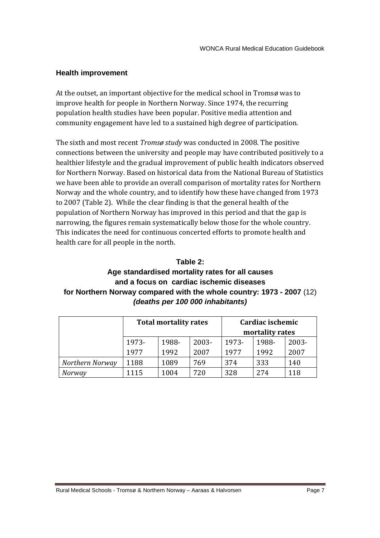#### **Health improvement**

At the outset, an important objective for the medical school in Tromsø was to improve health for people in Northern Norway. Since 1974, the recurring population health studies have been popular. Positive media attention and community engagement have led to a sustained high degree of participation.

The sixth and most recent *Tromsø study* was conducted in 2008. The positive connections between the university and people may have contributed positively to a healthier lifestyle and the gradual improvement of public health indicators observed for Northern Norway. Based on historical data from the National Bureau of Statistics we have been able to provide an overall comparison of mortality rates for Northern Norway and the whole country, and to identify how these have changed from 1973 to 2007 (Table 2). While the clear finding is that the general health of the population of Northern Norway has improved in this period and that the gap is narrowing, the figures remain systematically below those for the whole country. This indicates the need for continuous concerted efforts to promote health and health care for all people in the north.

#### **Table 2:**

# **Age standardised mortality rates for all causes and a focus on cardiac ischemic diseases for Northern Norway compared with the whole country: 1973 - 2007** (12) **(deaths per 100 000 inhabitants)**

|                 | <b>Total mortality rates</b> |       |       | Cardiac ischemic<br>mortality rates |       |       |
|-----------------|------------------------------|-------|-------|-------------------------------------|-------|-------|
|                 | 1973-                        | 1988- | 2003- | 1973-                               | 1988- | 2003- |
|                 | 1977                         | 1992  | 2007  | 1977                                | 1992  | 2007  |
| Northern Norway | 1188                         | 1089  | 769   | 374                                 | 333   | 140   |
| Norway          | 1115                         | 1004  | 720   | 328                                 | 274   | 118   |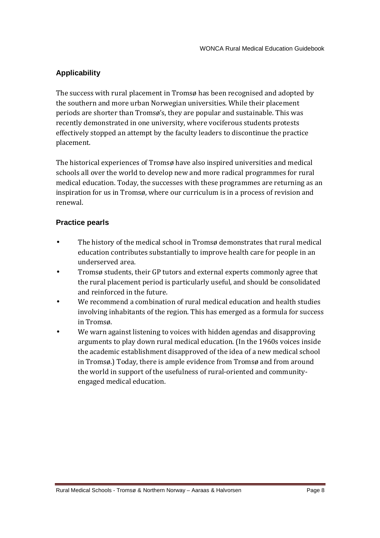## **Applicability**

The success with rural placement in Tromsø has been recognised and adopted by the southern and more urban Norwegian universities. While their placement periods are shorter than Tromsø's, they are popular and sustainable. This was recently demonstrated in one university, where vociferous students protests effectively stopped an attempt by the faculty leaders to discontinue the practice placement.

The historical experiences of Tromsø have also inspired universities and medical schools all over the world to develop new and more radical programmes for rural medical education. Today, the successes with these programmes are returning as an inspiration for us in Tromsø, where our curriculum is in a process of revision and renewal.

## **Practice pearls**

- The history of the medical school in Tromsø demonstrates that rural medical education contributes substantially to improve health care for people in an underserved area.
- Tromsø students, their GP tutors and external experts commonly agree that the rural placement period is particularly useful, and should be consolidated and reinforced in the future.
- We recommend a combination of rural medical education and health studies involving inhabitants of the region. This has emerged as a formula for success in Tromsø.
- We warn against listening to voices with hidden agendas and disapproving arguments to play down rural medical education. (In the 1960s voices inside the academic establishment disapproved of the idea of a new medical school in Tromsø.) Today, there is ample evidence from Tromsø and from around the world in support of the usefulness of rural-oriented and communityengaged medical education.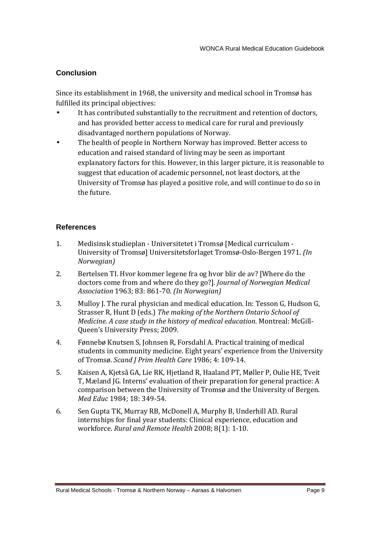## **Conclusion**

Since its establishment in 1968, the university and medical school in Tromsø has fulfilled its principal objectives:

- It has contributed substantially to the recruitment and retention of doctors, and has provided better access to medical care for rural and previously disadvantaged northern populations of Norway.
- The health of people in Northern Norway has improved. Better access to education and raised standard of living may be seen as important explanatory factors for this. However, in this larger picture, it is reasonable to suggest that education of academic personnel, not least doctors, at the University of Tromsø has played a positive role, and will continue to do so in the future.

## **References**

- 1. Medisinsk studieplan Universitetet i Tromsø [Medical curriculum University of Tromsø] Universitetsforlaget Tromsø-Oslo-Bergen 1971. *(In Norwegian)*
- 2. Bertelsen TI. Hvor kommer legene fra og hvor blir de av? [Where do the doctors come from and where do they go?]. *Journal of Norwegian Medical Association* 1963; 83: 861-70. *(In Norwegian)*
- 3. Mulloy J. The rural physician and medical education. In: Tesson G, Hudson G, Strasser R, Hunt D (eds.) *The making of the Northern Ontario School of Medicine. A case study in the history of medical education*. Montreal: McGill-Queen's University Press; 2009.
- 4. Fønnebø Knutsen S, Johnsen R, Forsdahl A. Practical training of medical students in community medicine. Eight years' experience from the University of Tromsø. *Scand J Prim Health Care* 1986; 4: 109-14.
- 5. Kaisen A, Kjetså GA, Lie RK, Hjetland R, Haaland PT, Møller P, Oulie HE, Tveit T, Mæland JG. Interns' evaluation of their preparation for general practice: A comparison between the University of Tromsø and the University of Bergen. *Med Educ* 1984; 18: 349-54.
- 6. Sen Gupta TK, Murray RB, McDonell A, Murphy B, Underhill AD. Rural internships for final year students: Clinical experience, education and workforce. *Rural and Remote Health* 2008; 8(1): 1-10.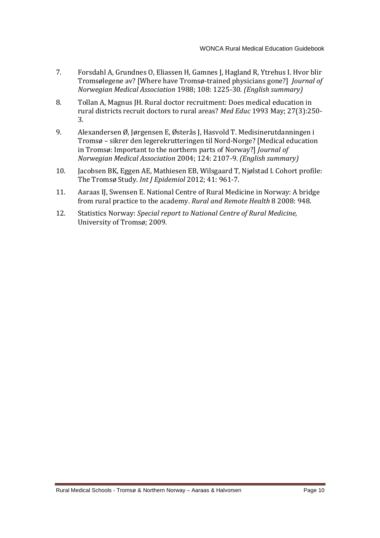- 7. Forsdahl A, Grundnes O, Eliassen H, Gamnes J, Hagland R, Ytrehus I. Hvor blir Tromsølegene av? [Where have Tromsø-trained physicians gone?] *Journal of Norwegian Medical Association* 1988; 108: 1225-30. *(English summary)*
- 8. Tollan A, Magnus JH. Rural doctor recruitment: Does medical education in rural districts recruit doctors to rural areas? *Med Educ* 1993 May; 27(3):250- 3.
- 9. Alexandersen Ø, Jørgensen E, Østerås J, Hasvold T. Medisinerutdanningen i Tromsø – sikrer den legerekrutteringen til Nord-Norge? [Medical education in Tromsø: Important to the northern parts of Norway?] *Journal of Norwegian Medical Association* 2004; 124: 2107-9. *(English summary)*
- 10. Jacobsen BK, Eggen AE, Mathiesen EB, Wilsgaard T, Njølstad I. Cohort profile: The Tromsø Study. *Int J Epidemiol* 2012; 41: 961-7.
- 11. Aaraas IJ, Swensen E. National Centre of Rural Medicine in Norway: A bridge from rural practice to the academy. *Rural and Remote Health* 8 2008: 948.
- 12. Statistics Norway: *Special report to National Centre of Rural Medicine,* University of Tromsø; 2009.